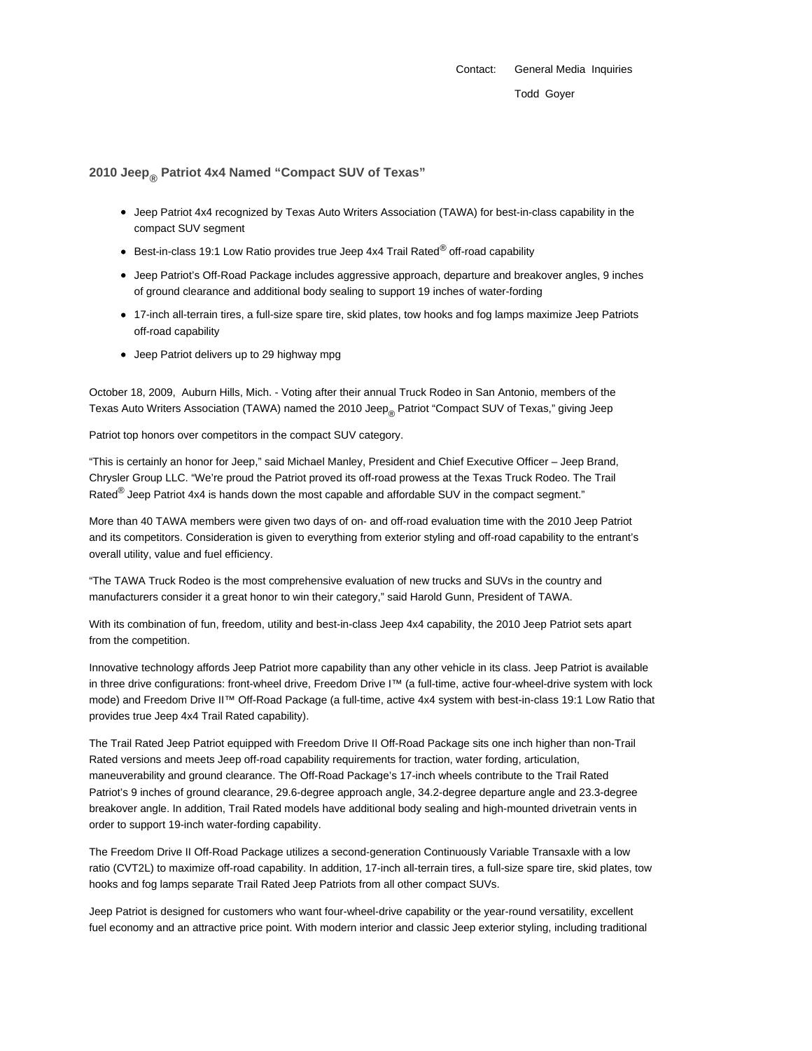Contact: General Media Inquiries Todd Goyer

## **2010 Jeep® Patriot 4x4 Named "Compact SUV of Texas"**

- Jeep Patriot 4x4 recognized by Texas Auto Writers Association (TAWA) for best-in-class capability in the compact SUV segment
- Best-in-class 19:1 Low Ratio provides true Jeep 4x4 Trail Rated<sup>®</sup> off-road capability
- Jeep Patriot's Off-Road Package includes aggressive approach, departure and breakover angles, 9 inches of ground clearance and additional body sealing to support 19 inches of water-fording
- 17-inch all-terrain tires, a full-size spare tire, skid plates, tow hooks and fog lamps maximize Jeep Patriots off-road capability
- Jeep Patriot delivers up to 29 highway mpg

October 18, 2009, Auburn Hills, Mich. - Voting after their annual Truck Rodeo in San Antonio, members of the Texas Auto Writers Association (TAWA) named the 2010 Jeep<sub>®</sub> Patriot "Compact SUV of Texas," giving Jeep

Patriot top honors over competitors in the compact SUV category.

"This is certainly an honor for Jeep," said Michael Manley, President and Chief Executive Officer – Jeep Brand, Chrysler Group LLC. "We're proud the Patriot proved its off-road prowess at the Texas Truck Rodeo. The Trail Rated $^{\circledR}$  Jeep Patriot 4x4 is hands down the most capable and affordable SUV in the compact segment."

More than 40 TAWA members were given two days of on- and off-road evaluation time with the 2010 Jeep Patriot and its competitors. Consideration is given to everything from exterior styling and off-road capability to the entrant's overall utility, value and fuel efficiency.

"The TAWA Truck Rodeo is the most comprehensive evaluation of new trucks and SUVs in the country and manufacturers consider it a great honor to win their category," said Harold Gunn, President of TAWA.

With its combination of fun, freedom, utility and best-in-class Jeep 4x4 capability, the 2010 Jeep Patriot sets apart from the competition.

Innovative technology affords Jeep Patriot more capability than any other vehicle in its class. Jeep Patriot is available in three drive configurations: front-wheel drive, Freedom Drive I™ (a full-time, active four-wheel-drive system with lock mode) and Freedom Drive II™ Off-Road Package (a full-time, active 4x4 system with best-in-class 19:1 Low Ratio that provides true Jeep 4x4 Trail Rated capability).

The Trail Rated Jeep Patriot equipped with Freedom Drive II Off-Road Package sits one inch higher than non-Trail Rated versions and meets Jeep off-road capability requirements for traction, water fording, articulation, maneuverability and ground clearance. The Off-Road Package's 17-inch wheels contribute to the Trail Rated Patriot's 9 inches of ground clearance, 29.6-degree approach angle, 34.2-degree departure angle and 23.3-degree breakover angle. In addition, Trail Rated models have additional body sealing and high-mounted drivetrain vents in order to support 19-inch water-fording capability.

The Freedom Drive II Off-Road Package utilizes a second-generation Continuously Variable Transaxle with a low ratio (CVT2L) to maximize off-road capability. In addition, 17-inch all-terrain tires, a full-size spare tire, skid plates, tow hooks and fog lamps separate Trail Rated Jeep Patriots from all other compact SUVs.

Jeep Patriot is designed for customers who want four-wheel-drive capability or the year-round versatility, excellent fuel economy and an attractive price point. With modern interior and classic Jeep exterior styling, including traditional